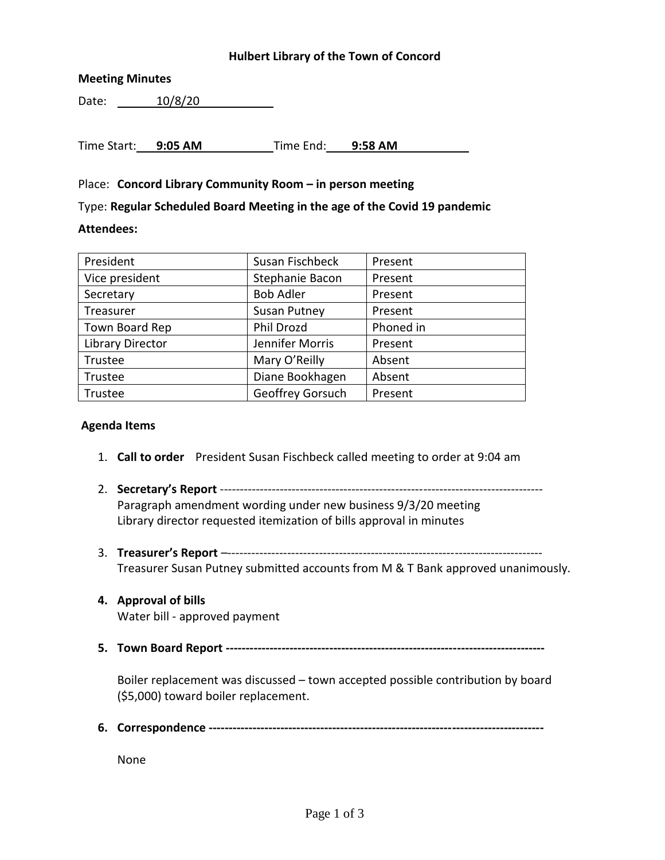## **Hulbert Library of the Town of Concord**

## **Meeting Minutes**

Date: 10/8/20

Time Start: **9:05 AM** Time End: **9:58 AM**

## Place: **Concord Library Community Room – in person meeting**

Type: **Regular Scheduled Board Meeting in the age of the Covid 19 pandemic**

#### **Attendees:**

| Susan Fischbeck     | Present   |
|---------------------|-----------|
| Stephanie Bacon     | Present   |
| <b>Bob Adler</b>    | Present   |
| <b>Susan Putney</b> | Present   |
| Phil Drozd          | Phoned in |
| Jennifer Morris     | Present   |
| Mary O'Reilly       | Absent    |
| Diane Bookhagen     | Absent    |
| Geoffrey Gorsuch    | Present   |
|                     |           |

#### **Agenda Items**

- 1. **Call to order** President Susan Fischbeck called meeting to order at 9:04 am
- 2. **Secretary's Report** --------------------------------------------------------------------------------- Paragraph amendment wording under new business 9/3/20 meeting Library director requested itemization of bills approval in minutes
- 3. **Treasurer's Report** –------------------------------------------------------------------------------- Treasurer Susan Putney submitted accounts from M & T Bank approved unanimously.
- **4. Approval of bills** Water bill - approved payment
- **5. Town Board Report --------------------------------------------------------------------------------**

Boiler replacement was discussed – town accepted possible contribution by board (\$5,000) toward boiler replacement.

**6. Correspondence ------------------------------------------------------------------------------------**

None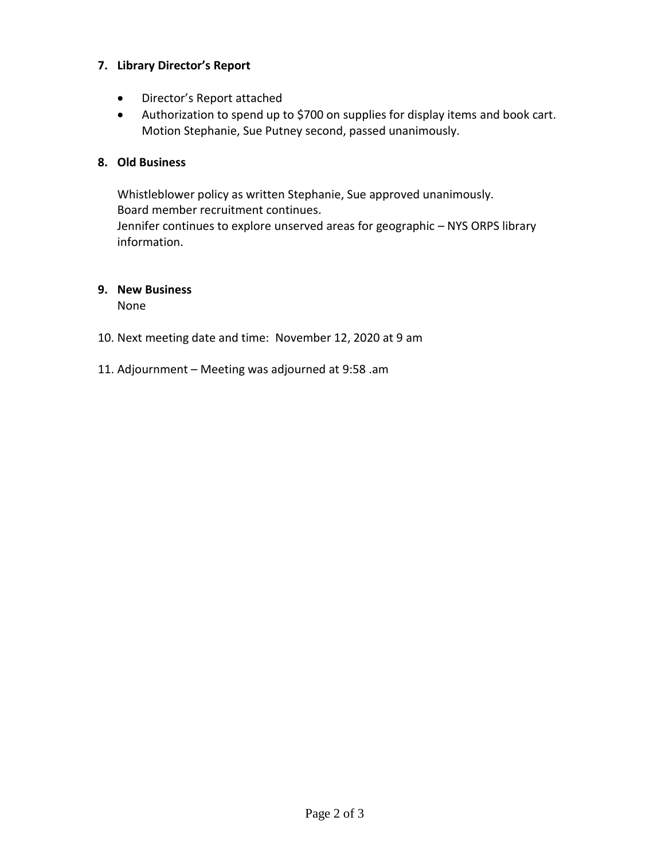## **7. Library Director's Report**

- Director's Report attached
- Authorization to spend up to \$700 on supplies for display items and book cart. Motion Stephanie, Sue Putney second, passed unanimously.

# **8. Old Business**

Whistleblower policy as written Stephanie, Sue approved unanimously. Board member recruitment continues. Jennifer continues to explore unserved areas for geographic – NYS ORPS library information.

# **9. New Business**

None

- 10. Next meeting date and time: November 12, 2020 at 9 am
- 11. Adjournment Meeting was adjourned at 9:58 .am